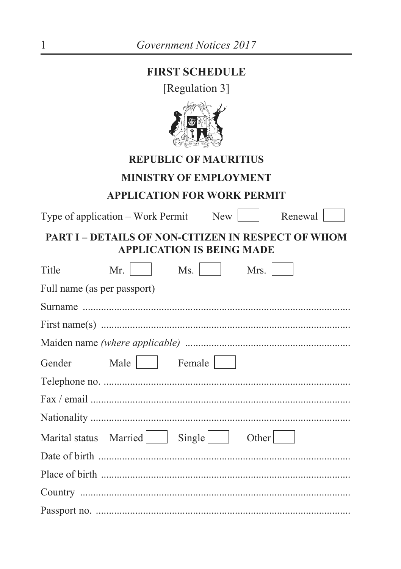# **FIRST SCHEDULE**

[Regulation 3]



## **REPUBLIC OF MAURITIUS**

### **MINISTRY OF EMPLOYMENT**

#### **APPLICATION FOR WORK PERMIT**

Type of application – Work Permit New  $\left[$ 

Renewal

## PART I - DETAILS OF NON-CITIZEN IN RESPECT OF WHOM **APPLICATION IS BEING MADE**

| Title                       | Mr.                             | Ms. | Mrs.  |
|-----------------------------|---------------------------------|-----|-------|
| Full name (as per passport) |                                 |     |       |
|                             |                                 |     |       |
|                             |                                 |     |       |
|                             |                                 |     |       |
|                             | Gender Male   Female            |     |       |
|                             |                                 |     |       |
|                             |                                 |     |       |
|                             |                                 |     |       |
|                             | Marital status Married   Single |     | Other |
|                             |                                 |     |       |
|                             |                                 |     |       |
|                             |                                 |     |       |
|                             |                                 |     |       |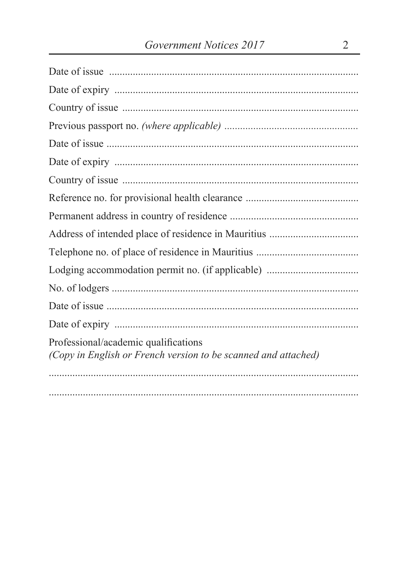| Professional/academic qualifications<br>(Copy in English or French version to be scanned and attached) |
|--------------------------------------------------------------------------------------------------------|
|                                                                                                        |
|                                                                                                        |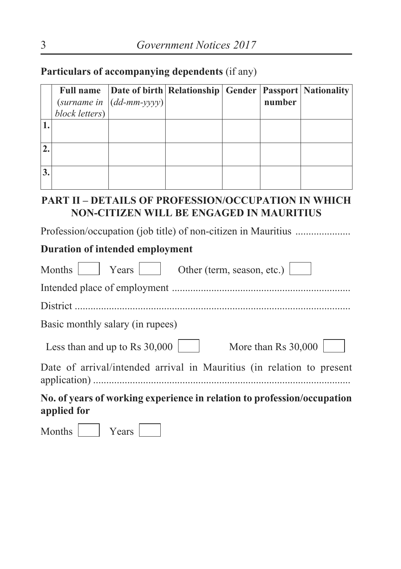**Particulars of accompanying dependents** (if any)

|                | Full name Date of birth Relationship Gender   Passport   Nationality |  |        |  |
|----------------|----------------------------------------------------------------------|--|--------|--|
|                | (surname in $\vert (dd\text{-}mm\text{-}yyy) \vert$                  |  | number |  |
| block letters) |                                                                      |  |        |  |
|                |                                                                      |  |        |  |
|                |                                                                      |  |        |  |
|                |                                                                      |  |        |  |
|                |                                                                      |  |        |  |
|                |                                                                      |  |        |  |
|                |                                                                      |  |        |  |

#### **PART II – DETAILS OF PROFESSION/OCCUPATION IN WHICH NON-CITIZEN WILL BE ENGAGED IN MAURITIUS**

Profession/occupation (job title) of non-citizen in Mauritius .....................

## **Duration of intended employment**

| Other (term, season, etc.)<br>Months<br>Years                                          |
|----------------------------------------------------------------------------------------|
|                                                                                        |
|                                                                                        |
| Basic monthly salary (in rupees)                                                       |
| More than Rs 30,000<br>Less than and up to Rs $30,000$                                 |
| Date of arrival/intended arrival in Mauritius (in relation to present                  |
| No. of years of working experience in relation to profession/occupation<br>applied for |
|                                                                                        |

Months Years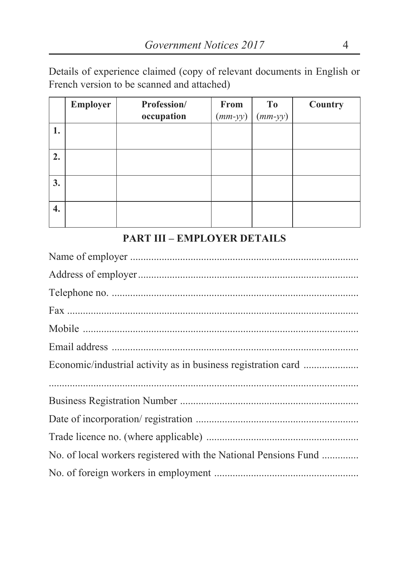Details of experience claimed (copy of relevant documents in English or French version to be scanned and attached)

|    | <b>Employer</b> | Profession/ | From      | T <sub>0</sub> | Country |
|----|-----------------|-------------|-----------|----------------|---------|
|    |                 | occupation  | $(mm-yy)$ | $(mm-yy)$      |         |
| 1. |                 |             |           |                |         |
| 2. |                 |             |           |                |         |
| 3. |                 |             |           |                |         |
| 4. |                 |             |           |                |         |

# **PART III – EMPLOYER DETAILS**

| No. of local workers registered with the National Pensions Fund |
|-----------------------------------------------------------------|
|                                                                 |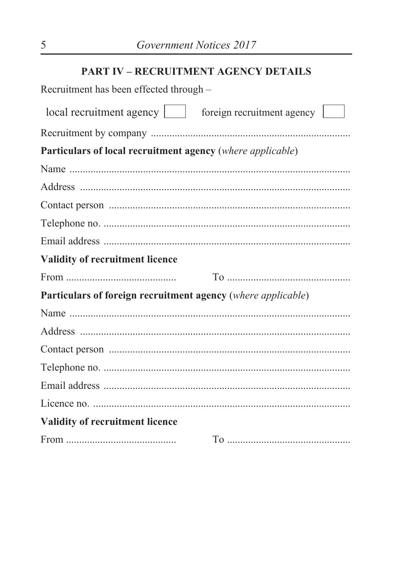## **PART IV - RECRUITMENT AGENCY DETAILS**

| Recruitment has been effected through –                      |  |
|--------------------------------------------------------------|--|
| local recruitment agency serves foreign recruitment agency   |  |
|                                                              |  |
| Particulars of local recruitment agency (where applicable)   |  |
|                                                              |  |
|                                                              |  |
|                                                              |  |
|                                                              |  |
|                                                              |  |
| Validity of recruitment licence                              |  |
|                                                              |  |
| Particulars of foreign recruitment agency (where applicable) |  |
|                                                              |  |
|                                                              |  |
|                                                              |  |
|                                                              |  |
|                                                              |  |
|                                                              |  |
| Validity of recruitment licence                              |  |
|                                                              |  |